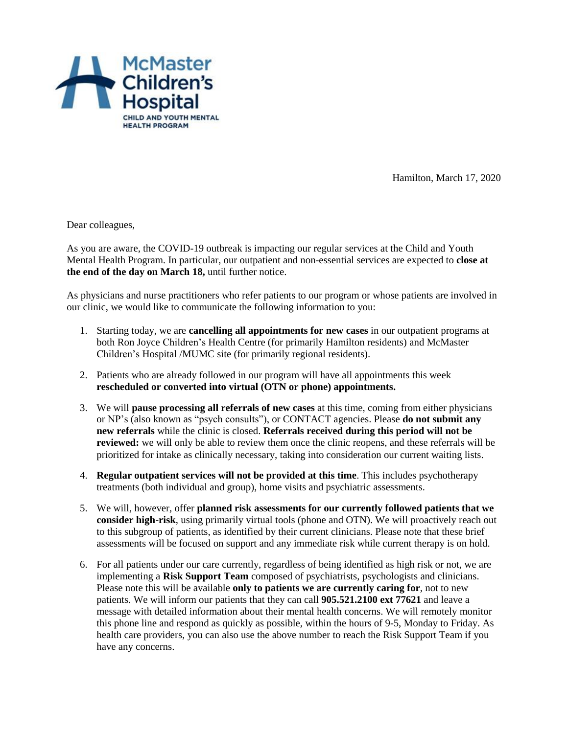

Hamilton, March 17, 2020

Dear colleagues,

As you are aware, the COVID-19 outbreak is impacting our regular services at the Child and Youth Mental Health Program. In particular, our outpatient and non-essential services are expected to **close at the end of the day on March 18,** until further notice.

As physicians and nurse practitioners who refer patients to our program or whose patients are involved in our clinic, we would like to communicate the following information to you:

- 1. Starting today, we are **cancelling all appointments for new cases** in our outpatient programs at both Ron Joyce Children's Health Centre (for primarily Hamilton residents) and McMaster Children's Hospital /MUMC site (for primarily regional residents).
- 2. Patients who are already followed in our program will have all appointments this week **rescheduled or converted into virtual (OTN or phone) appointments.**
- 3. We will **pause processing all referrals of new cases** at this time, coming from either physicians or NP's (also known as "psych consults"), or CONTACT agencies. Please **do not submit any new referrals** while the clinic is closed. **Referrals received during this period will not be reviewed:** we will only be able to review them once the clinic reopens, and these referrals will be prioritized for intake as clinically necessary, taking into consideration our current waiting lists.
- 4. **Regular outpatient services will not be provided at this time**. This includes psychotherapy treatments (both individual and group), home visits and psychiatric assessments.
- 5. We will, however, offer **planned risk assessments for our currently followed patients that we consider high-risk**, using primarily virtual tools (phone and OTN). We will proactively reach out to this subgroup of patients, as identified by their current clinicians. Please note that these brief assessments will be focused on support and any immediate risk while current therapy is on hold.
- 6. For all patients under our care currently, regardless of being identified as high risk or not, we are implementing a **Risk Support Team** composed of psychiatrists, psychologists and clinicians. Please note this will be available **only to patients we are currently caring for**, not to new patients. We will inform our patients that they can call **905.521.2100 ext 77621** and leave a message with detailed information about their mental health concerns. We will remotely monitor this phone line and respond as quickly as possible, within the hours of 9-5, Monday to Friday. As health care providers, you can also use the above number to reach the Risk Support Team if you have any concerns.